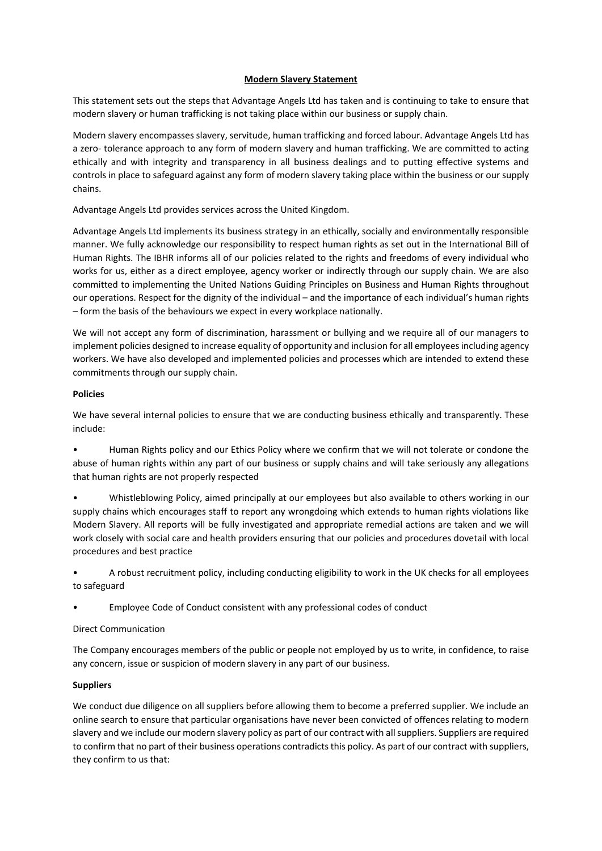### **Modern Slavery Statement**

This statement sets out the steps that Advantage Angels Ltd has taken and is continuing to take to ensure that modern slavery or human trafficking is not taking place within our business or supply chain.

Modern slavery encompasses slavery, servitude, human trafficking and forced labour. Advantage Angels Ltd has a zero- tolerance approach to any form of modern slavery and human trafficking. We are committed to acting ethically and with integrity and transparency in all business dealings and to putting effective systems and controls in place to safeguard against any form of modern slavery taking place within the business or our supply chains.

Advantage Angels Ltd provides services across the United Kingdom.

Advantage Angels Ltd implements its business strategy in an ethically, socially and environmentally responsible manner. We fully acknowledge our responsibility to respect human rights as set out in the International Bill of Human Rights. The IBHR informs all of our policies related to the rights and freedoms of every individual who works for us, either as a direct employee, agency worker or indirectly through our supply chain. We are also committed to implementing the United Nations Guiding Principles on Business and Human Rights throughout our operations. Respect for the dignity of the individual – and the importance of each individual's human rights – form the basis of the behaviours we expect in every workplace nationally.

We will not accept any form of discrimination, harassment or bullying and we require all of our managers to implement policies designed to increase equality of opportunity and inclusion for all employees including agency workers. We have also developed and implemented policies and processes which are intended to extend these commitments through our supply chain.

### **Policies**

We have several internal policies to ensure that we are conducting business ethically and transparently. These include:

• Human Rights policy and our Ethics Policy where we confirm that we will not tolerate or condone the abuse of human rights within any part of our business or supply chains and will take seriously any allegations that human rights are not properly respected

• Whistleblowing Policy, aimed principally at our employees but also available to others working in our supply chains which encourages staff to report any wrongdoing which extends to human rights violations like Modern Slavery. All reports will be fully investigated and appropriate remedial actions are taken and we will work closely with social care and health providers ensuring that our policies and procedures dovetail with local procedures and best practice

• A robust recruitment policy, including conducting eligibility to work in the UK checks for all employees to safeguard

• Employee Code of Conduct consistent with any professional codes of conduct

# Direct Communication

The Company encourages members of the public or people not employed by us to write, in confidence, to raise any concern, issue or suspicion of modern slavery in any part of our business.

# **Suppliers**

We conduct due diligence on all suppliers before allowing them to become a preferred supplier. We include an online search to ensure that particular organisations have never been convicted of offences relating to modern slavery and we include our modern slavery policy as part of our contract with all suppliers. Suppliers are required to confirm that no part of their business operations contradicts this policy. As part of our contract with suppliers, they confirm to us that: